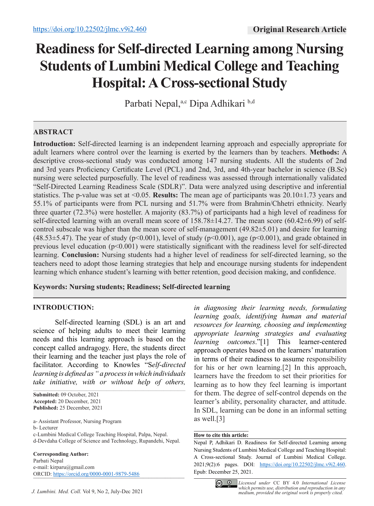# **Readiness for Self-directed Learning among Nursing Students of Lumbini Medical College and Teaching Hospital: A Cross-sectional Study**

Parbati Nepal,<sup>a,c</sup> Dipa Adhikari b,d

# **ABSTRACT**

**Introduction:** Self-directed learning is an independent learning approach and especially appropriate for adult learners where control over the learning is exerted by the learners than by teachers. **Methods:** A descriptive cross-sectional study was conducted among 147 nursing students. All the students of 2nd and 3rd years Proficiency Certificate Level (PCL) and 2nd, 3rd, and 4th-year bachelor in science (B.Sc) nursing were selected purposefully. The level of readiness was assessed through internationally validated "Self-Directed Learning Readiness Scale (SDLR)". Data were analyzed using descriptive and inferential statistics. The p-value was set at <0.05. **Results:** The mean age of participants was 20.10±1.73 years and 55.1% of participants were from PCL nursing and 51.7% were from Brahmin/Chhetri ethnicity. Nearly three quarter (72.3%) were hosteller. A majority (83.7%) of participants had a high level of readiness for self-directed learning with an overall mean score of 158.78±14.27. The mean score (60.42±6.99) of selfcontrol subscale was higher than the mean score of self-management (49.82±5.01) and desire for learning (48.53 $\pm$ 5.47). The year of study (p<0.001), level of study (p<0.001), age (p<0.001), and grade obtained in previous level education (p<0.001) were statistically significant with the readiness level for self-directed learning. **Conclusion:** Nursing students had a higher level of readiness for self-directed learning, so the teachers need to adopt those learning strategies that help and encourage nursing students for independent learning which enhance student's learning with better retention, good decision making, and confidence.

# **Keywords: Nursing students; Readiness; Self-directed learning**

# **INTRODUCTION:**

Self-directed learning (SDL) is an art and science of helping adults to meet their learning needs and this learning approach is based on the concept called andragogy. Here, the students direct their learning and the teacher just plays the role of facilitator. According to Knowles "S*elf-directed learning is defined as " a process in which individuals take initiative, with or without help of others,* 

 $\mathcal{L}_\mathcal{L} = \mathcal{L}_\mathcal{L} = \mathcal{L}_\mathcal{L} = \mathcal{L}_\mathcal{L} = \mathcal{L}_\mathcal{L} = \mathcal{L}_\mathcal{L} = \mathcal{L}_\mathcal{L} = \mathcal{L}_\mathcal{L} = \mathcal{L}_\mathcal{L} = \mathcal{L}_\mathcal{L} = \mathcal{L}_\mathcal{L} = \mathcal{L}_\mathcal{L} = \mathcal{L}_\mathcal{L} = \mathcal{L}_\mathcal{L} = \mathcal{L}_\mathcal{L} = \mathcal{L}_\mathcal{L} = \mathcal{L}_\mathcal{L}$ 

**Submitted:** 09 October, 2021 **Accepted:** 20 December, 2021 **Published:** 25 December, 2021

a- Assistant Professor, Nursing Program

b- Lecturer

c-Lumbini Medical College Teaching Hospital, Palpa, Nepal. d-Devdaha College of Science and Technology, Rupandehi, Nepal.

**Corresponding Author:** Parbati Nepal e-mail: kirparu@gmail.com ORCID: https://orcid.org/0000-0001-9879-5486

*in diagnosing their learning needs, formulating learning goals, identifying human and material resources for learning, choosing and implementing appropriate learning strategies and evaluating learning outcomes*."[1] This learner-centered approach operates based on the learners' maturation in terms of their readiness to assume responsibility for his or her own learning.[2] In this approach, learners have the freedom to set their priorities for learning as to how they feel learning is important for them. The degree of self-control depends on the learner's ability, personality character, and attitude. In SDL, learning can be done in an informal setting as well.[3]

#### **How to cite this article:**

Nepal P, Adhikari D. Readiness for Self-directed Learning among Nursing Students of Lumbini Medical College and Teaching Hospital: A Cross-sectional Study. Journal of Lumbini Medical College. 2021;9(2):6 pages. DOI: https://doi.org/10.22502/jlmc.v9i2.460. Epub: December 25, 2021.

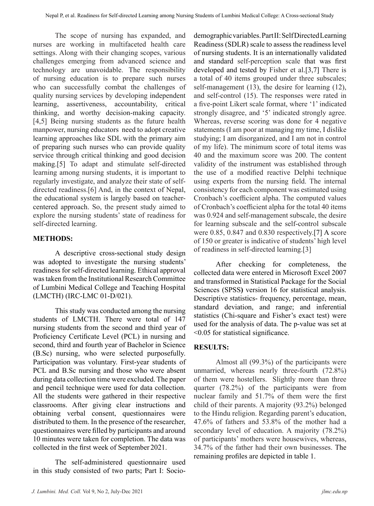The scope of nursing has expanded, and nurses are working in multifaceted health care settings. Along with their changing scopes, various challenges emerging from advanced science and technology are unavoidable. The responsibility of nursing education is to prepare such nurses who can successfully combat the challenges of quality nursing services by developing independent learning, assertiveness, accountability, critical thinking, and worthy decision-making capacity. [4,5] Being nursing students as the future health manpower, nursing educators need to adopt creative learning approaches like SDL with the primary aim of preparing such nurses who can provide quality service through critical thinking and good decision making.[5] To adapt and stimulate self-directed learning among nursing students, it is important to regularly investigate, and analyze their state of selfdirected readiness.[6] And, in the context of Nepal, the educational system is largely based on teachercentered approach. So, the present study aimed to explore the nursing students' state of readiness for self-directed learning.

# **METHODS:**

A descriptive cross-sectional study design was adopted to investigate the nursing students' readiness for self-directed learning. Ethical approval was taken from the Institutional Research Committee of Lumbini Medical College and Teaching Hospital (LMCTH) (IRC-LMC 01-D/021).

This study was conducted among the nursing students of LMCTH. There were total of 147 nursing students from the second and third year of Proficiency Certificate Level (PCL) in nursing and second, third and fourth year of Bachelor in Science (B.Sc) nursing, who were selected purposefully. Participation was voluntary. First-year students of PCL and B.Sc nursing and those who were absent during data collection time were excluded. The paper and pencil technique were used for data collection. All the students were gathered in their respective classrooms. After giving clear instructions and obtaining verbal consent, questionnaires were distributed to them. In the presence of the researcher, questionnaires were filled by participants and around 10 minutes were taken for completion. The data was collected in the first week of September 2021.

The self-administered questionnaire used in this study consisted of two parts; Part I: Socio-

demographic variables. Part II: Self Directed Learning Readiness (SDLR) scale to assess the readiness level of nursing students. It is an internationally validated and standard self-perception scale that was first developed and tested by Fisher et al.[3,7] There is a total of 40 items grouped under three subscales; self-management (13), the desire for learning (12), and self-control (15). The responses were rated in a five-point Likert scale format, where '1' indicated strongly disagree, and '5' indicated strongly agree. Whereas, reverse scoring was done for 4 negative statements (I am poor at managing my time, I dislike studying; I am disorganized, and I am not in control of my life). The minimum score of total items was 40 and the maximum score was 200. The content validity of the instrument was established through the use of a modified reactive Delphi technique using experts from the nursing field. The internal consistency for each component was estimated using Cronbach's coefficient alpha. The computed values of Cronbach's coefficient alpha for the total 40 items was 0.924 and self-management subscale, the desire for learning subscale and the self-control subscale were 0.85, 0.847 and 0.830 respectively.[7] A score of 150 or greater is indicative of students' high level of readiness in self-directed learning.[3]

After checking for completeness, the collected data were entered in Microsoft Excel 2007 and transformed in Statistical Package for the Social Sciences (SPSS**)** version 16 for statistical analysis. Descriptive statistics- frequency, percentage, mean, standard deviation, and range; and inferential statistics (Chi-square and Fisher's exact test) were used for the analysis of data. The p-value was set at <0.05 for statistical significance.

# **RESULTS:**

Almost all (99.3%) of the participants were unmarried, whereas nearly three-fourth (72.8%) of them were hostellers. Slightly more than three quarter (78.2%) of the participants were from nuclear family and 51.7% of them were the first child of their parents. A majority (93.2%) belonged to the Hindu religion. Regarding parent's education, 47.6% of fathers and 53.8% of the mother had a secondary level of education. A majority (78.2%) of participants' mothers were housewives, whereas, 34.7% of the father had their own businesses. The remaining profiles are depicted in table 1.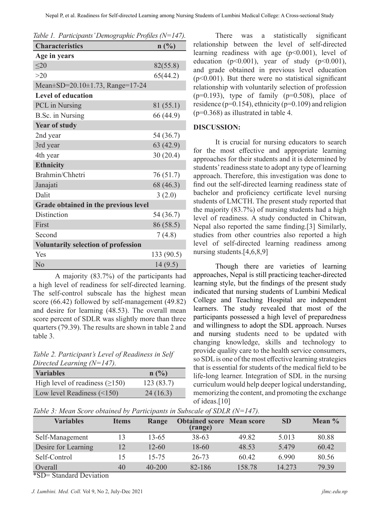| Table 1. Participants' Demographic Profiles (N=147). |            |  |  |  |  |  |  |
|------------------------------------------------------|------------|--|--|--|--|--|--|
| <b>Characteristics</b>                               | n(%)       |  |  |  |  |  |  |
| Age in years                                         |            |  |  |  |  |  |  |
| <20                                                  | 82(55.8)   |  |  |  |  |  |  |
| >20                                                  | 65(44.2)   |  |  |  |  |  |  |
| Mean±SD=20.10±1.73, Range=17-24                      |            |  |  |  |  |  |  |
| <b>Level of education</b>                            |            |  |  |  |  |  |  |
| PCL in Nursing                                       | 81 (55.1)  |  |  |  |  |  |  |
| B.Sc. in Nursing                                     | 66 (44.9)  |  |  |  |  |  |  |
| <b>Year of study</b>                                 |            |  |  |  |  |  |  |
| 2nd year                                             | 54 (36.7)  |  |  |  |  |  |  |
| 3rd year                                             | 63(42.9)   |  |  |  |  |  |  |
| 4th year                                             | 30(20.4)   |  |  |  |  |  |  |
| <b>Ethnicity</b>                                     |            |  |  |  |  |  |  |
| Brahmin/Chhetri                                      | 76 (51.7)  |  |  |  |  |  |  |
| Janajati                                             | 68 (46.3)  |  |  |  |  |  |  |
| Dalit                                                | 3(2.0)     |  |  |  |  |  |  |
| Grade obtained in the previous level                 |            |  |  |  |  |  |  |
| Distinction                                          | 54 (36.7)  |  |  |  |  |  |  |
| First                                                | 86 (58.5)  |  |  |  |  |  |  |
| Second                                               | 7(4.8)     |  |  |  |  |  |  |
| <b>Voluntarily selection of profession</b>           |            |  |  |  |  |  |  |
| Yes                                                  | 133 (90.5) |  |  |  |  |  |  |
| N <sub>o</sub>                                       | 14(9.5)    |  |  |  |  |  |  |

A majority (83.7%) of the participants had a high level of readiness for self-directed learning. The self-control subscale has the highest mean score (66.42) followed by self-management (49.82) and desire for learning (48.53). The overall mean score percent of SDLR was slightly more than three quarters (79.39). The results are shown in table 2 and table 3.

*Table 2. Participant's Level of Readiness in Self Directed Learning (N=147).*

| <b>Variables</b>                     | $n(^{0}/_{0})$ |
|--------------------------------------|----------------|
| High level of readiness $(\geq 150)$ | 123(83.7)      |
| Low level Readiness $(\leq 150)$     | 24(16.3)       |

There was a statistically significant relationship between the level of self-directed learning readiness with age  $(p<0.001)$ , level of education ( $p<0.001$ ), year of study ( $p<0.001$ ), and grade obtained in previous level education  $(p<0.001)$ . But there were no statistical significant relationship with voluntarily selection of profession  $(p=0.193)$ , type of family  $(p=0.508)$ , place of residence ( $p=0.154$ ), ethnicity ( $p=0.109$ ) and religion  $(p=0.368)$  as illustrated in table 4.

#### **DISCUSSION:**

It is crucial for nursing educators to search for the most effective and appropriate learning approaches for their students and it is determined by students' readiness state to adopt any type of learning approach. Therefore, this investigation was done to find out the self-directed learning readiness state of bachelor and proficiency certificate level nursing students of LMCTH. The present study reported that the majority (83.7%) of nursing students had a high level of readiness. A study conducted in Chitwan, Nepal also reported the same finding.[3] Similarly, studies from other countries also reported a high level of self-directed learning readiness among nursing students.[4,6,8,9]

Though there are varieties of learning approaches, Nepal is still practicing teacher-directed learning style, but the findings of the present study indicated that nursing students of Lumbini Medical College and Teaching Hospital are independent learners. The study revealed that most of the participants possessed a high level of preparedness and willingness to adopt the SDL approach. Nurses and nursing students need to be updated with changing knowledge, skills and technology to provide quality care to the health service consumers, so SDL is one of the most effective learning strategies that is essential for students of the medical field to be life-long learner. Integration of SDL in the nursing curriculum would help deeper logical understanding, memorizing the content, and promoting the exchange of ideas.[10]

*Table 3: Mean Score obtained by Participants in Subscale of SDLR (N=147).*

| <b>Variables</b>                                | <b>Items</b> | Range      | <b>Obtained score Mean score</b><br>(range) |        | <b>SD</b> | Mean % |
|-------------------------------------------------|--------------|------------|---------------------------------------------|--------|-----------|--------|
| Self-Management                                 | 13           | 13-65      | $38 - 63$                                   | 49.82  | 5.013     | 80.88  |
| Desire for Learning                             | 12           | $12 - 60$  | 18-60                                       | 48.53  | 5.479     | 60.42  |
| Self-Control                                    | 15           | $15 - 75$  | 26-73                                       | 60.42  | 6.990     | 80.56  |
| Overall<br>20T<br>$\alpha$ 1 1 $\alpha$ $\beta$ | 40           | $40 - 200$ | 82-186                                      | 158.78 | 14.273    | 79.39  |

\*SD= Standard Deviation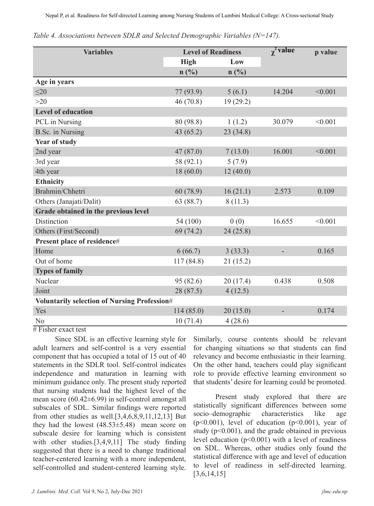| <b>Variables</b>                             | <b>Level of Readiness</b> |                | $\gamma^2$ value | p value |  |  |
|----------------------------------------------|---------------------------|----------------|------------------|---------|--|--|
|                                              | <b>High</b>               | Low            |                  |         |  |  |
|                                              | $n(^{0}/_{0})$            | $n(^{0}/_{0})$ |                  |         |  |  |
| Age in years                                 |                           |                |                  |         |  |  |
| $\leq 20$                                    | 77 (93.9)                 | 5(6.1)         | 14.204           | < 0.001 |  |  |
| $>20$                                        | 46(70.8)                  | 19(29.2)       |                  |         |  |  |
| <b>Level of education</b>                    |                           |                |                  |         |  |  |
| PCL in Nursing                               | 80 (98.8)                 | 1(1.2)         | 30.079           | < 0.001 |  |  |
| <b>B.Sc.</b> in Nursing                      | 43(65.2)                  | 23(34.8)       |                  |         |  |  |
| Year of study                                |                           |                |                  |         |  |  |
| 2nd year                                     | 47(87.0)                  | 7(13.0)        | 16.001           | < 0.001 |  |  |
| 3rd year                                     | 58 (92.1)                 | 5(7.9)         |                  |         |  |  |
| 4th year                                     | 18(60.0)                  | 12(40.0)       |                  |         |  |  |
| <b>Ethnicity</b>                             |                           |                |                  |         |  |  |
| Brahmin/Chhetri                              | 60 (78.9)                 | 16(21.1)       | 2.573            | 0.109   |  |  |
| Others (Janajati/Dalit)                      | 63 (88.7)                 | 8(11.3)        |                  |         |  |  |
| Grade obtained in the previous level         |                           |                |                  |         |  |  |
| Distinction                                  | 54 (100)                  | 0(0)           | 16.655           | < 0.001 |  |  |
| Others (First/Second)                        | 69 (74.2)                 | 24(25.8)       |                  |         |  |  |
| Present place of residence#                  |                           |                |                  |         |  |  |
| Home                                         | 6(66.7)                   | 3(33.3)        |                  | 0.165   |  |  |
| Out of home                                  | 117(84.8)                 | 21 (15.2)      |                  |         |  |  |
| <b>Types of family</b>                       |                           |                |                  |         |  |  |
| Nuclear                                      | 95 (82.6)                 | 20(17.4)       | 0.438            | 0.508   |  |  |
| Joint                                        | 28 (87.5)                 | 4(12.5)        |                  |         |  |  |
| Voluntarily selection of Nursing Profession# |                           |                |                  |         |  |  |
| Yes                                          | 114(85.0)                 | 20(15.0)       |                  | 0.174   |  |  |
| N <sub>o</sub>                               | 10(71.4)                  | 4(28.6)        |                  |         |  |  |

*Table 4. Associations between SDLR and Selected Demographic Variables (N=147).*

 $#$  Fisher exact test

Since SDL is an effective learning style for adult learners and self-control is a very essential component that has occupied a total of 15 out of 40 statements in the SDLR tool. Self-control indicates independence and maturation in learning with minimum guidance only. The present study reported that nursing students had the highest level of the mean score (60.42±6.99) in self-control amongst all subscales of SDL. Similar findings were reported from other studies as well.[3,4,6,8,9,11,12,13] But they had the lowest  $(48.53\pm5.48)$  mean score on subscale desire for learning which is consistent with other studies.[3,4,9,11] The study finding suggested that there is a need to change traditional teacher-centered learning with a more independent, self-controlled and student-centered learning style. Similarly, course contents should be relevant for changing situations so that students can find relevancy and become enthusiastic in their learning. On the other hand, teachers could play significant role to provide effective learning environment so that students' desire for learning could be promoted.

Present study explored that there are statistically significant differences between some socio–demographic characteristics like age ( $p<0.001$ ), level of education ( $p<0.001$ ), year of study ( $p<0.001$ ), and the grade obtained in previous level education  $(p<0.001)$  with a level of readiness on SDL. Whereas, other studies only found the statistical difference with age and level of education to level of readiness in self-directed learning. [3,6,14,15]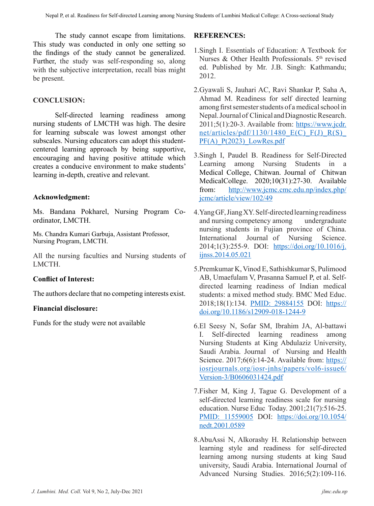The study cannot escape from limitations. This study was conducted in only one setting so the findings of the study cannot be generalized. Further, the study was self-responding so, along with the subjective interpretation, recall bias might be present.

# **CONCLUSION:**

Self-directed learning readiness among nursing students of LMCTH was high. The desire for learning subscale was lowest amongst other subscales. Nursing educators can adopt this studentcentered learning approach by being supportive, encouraging and having positive attitude which creates a conducive environment to make students' learning in-depth, creative and relevant.

# **Acknowledgment:**

Ms. Bandana Pokharel, Nursing Program Coordinator, LMCTH.

Ms. Chandra Kumari Garbuja, Assistant Professor, Nursing Program, LMCTH.

All the nursing faculties and Nursing students of LMCTH.

# **Conflict of Interest:**

The authors declare that no competing interests exist.

# **Financial disclosure:**

Funds for the study were not available

# **REFERENCES:**

- 1.Singh I. Essentials of Education: A Textbook for Nurses & Other Health Professionals.  $5<sup>th</sup>$  revised ed. Published by Mr. J.B. Singh: Kathmandu; 2012.
- 2.Gyawali S, Jauhari AC, Ravi Shankar P, Saha A, Ahmad M. Readiness for self directed learning among first semester students of a medical school in Nepal. Journal of Clinical and Diagnostic Research. 2011;5(1):20-3. Available from: https://www.jcdr. net/articles/pdf/1130/1480 $E(C)$  $F(J)$  $R(S)$  $PF(A)$   $P(2023)$  LowRes.pdf
- 3.Singh I, Paudel B. Readiness for Self-Directed Learning among Nursing Students in a Medical College, Chitwan. Journal of Chitwan MedicalCollege. 2020;10(31):27-30. Available from: http://www.jcmc.cmc.edu.np/index.php/ jcmc/article/view/102/49
- 4.Yang GF, Jiang XY. Self-directed learning readiness and nursing competency among undergraduate nursing students in Fujian province of China. International Journal of Nursing Science. 2014;1(3):255-9. DOI: https://doi.org/10.1016/j. ijnss.2014.05.021
- 5.Premkumar K, Vinod E, Sathishkumar S, Pulimood AB, Umaefulam V, Prasanna Samuel P, et al. Selfdirected learning readiness of Indian medical students: a mixed method study. BMC Med Educ. 2018;18(1):134. PMID: 29884155 DOI: https:// doi.org/10.1186/s12909-018-1244-9
- 6.El Seesy N, Sofar SM, Ibrahim JA, Al-battawi I. Self-directed learning readiness among Nursing Students at King Abdulaziz University, Saudi Arabia. Journal of Nursing and Health Science. 2017;6(6):14-24. Available from: https:// iosrjournals.org/iosr-jnhs/papers/vol6-issue6/ Version-3/B0606031424.pdf
- 7.Fisher M, King J, Tague G. Development of a self-directed learning readiness scale for nursing education. Nurse Educ Today. 2001;21(7):516-25. PMID: 11559005 DOI: https://doi.org/10.1054/ nedt.2001.0589
- 8.AbuAssi N, Alkorashy H. Relationship between learning style and readiness for self-directed learning among nursing students at king Saud university, Saudi Arabia. International Journal of Advanced Nursing Studies. 2016;5(2):109-116.